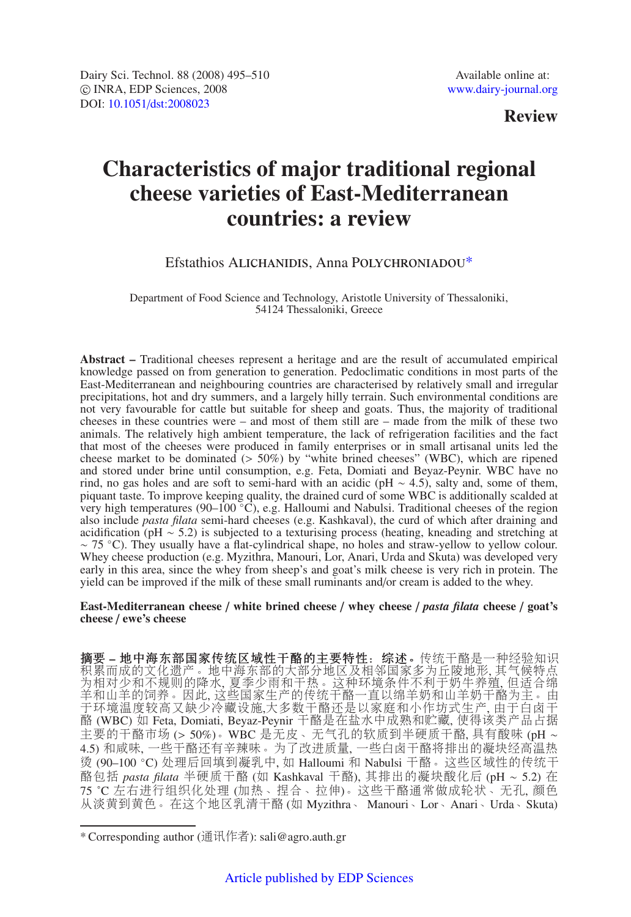## **Review**

# **Characteristics of major traditional regional cheese varieties of East-Mediterranean countries: a review**

## Efstathios Alichanidis, Anna Polychroniadou\*

Department of Food Science and Technology, Aristotle University of Thessaloniki, 54124 Thessaloniki, Greece

**Abstract –** Traditional cheeses represent a heritage and are the result of accumulated empirical knowledge passed on from generation to generation. Pedoclimatic conditions in most parts of the East-Mediterranean and neighbouring countries are characterised by relatively small and irregular precipitations, hot and dry summers, and a largely hilly terrain. Such environmental conditions are not very favourable for cattle but suitable for sheep and goats. Thus, the majority of traditional cheeses in these countries were – and most of them still are – made from the milk of these two animals. The relatively high ambient temperature, the lack of refrigeration facilities and the fact that most of the cheeses were produced in family enterprises or in small artisanal units led the cheese market to be dominated  $(> 50\%)$  by "white brined cheeses" (WBC), which are ripened and stored under brine until consumption, e.g. Feta, Domiati and Beyaz-Peynir. WBC have no rind, no gas holes and are soft to semi-hard with an acidic (pH  $\sim$  4.5), salty and, some of them, piquant taste. To improve keeping quality, the drained curd of some WBC is additionally scalded at very high temperatures (90–100 ◦C), e.g. Halloumi and Nabulsi. Traditional cheeses of the region also include *pasta filata* semi-hard cheeses (e.g. Kashkaval), the curd of which after draining and acidification (pH  $\sim$  5.2) is subjected to a texturising process (heating, kneading and stretching at ∼ 75 ◦C). They usually have a flat-cylindrical shape, no holes and straw-yellow to yellow colour. Whey cheese production (e.g. Myzithra, Manouri, Lor, Anari, Urda and Skuta) was developed very early in this area, since the whey from sheep's and goat's milk cheese is very rich in protein. The yield can be improved if the milk of these small ruminants and/or cream is added to the whey.

#### **East-Mediterranean cheese** / **white brined cheese** / **whey cheese** / *pasta filata* **cheese** / **goat's cheese** / **ewe's cheese**

摘要 **–** 地中海东部国家传统区域性干酪的主要特性:综述。传统干酪是一种经验知识 积累而成的文化遗产。地中海东部的大部分地区及相邻国家多为丘陵地形, 其气候特点 为相对少和不规则的降水, 夏季少雨和干热。这种环境条件不利于奶牛养殖, 但适合绵 羊和山羊的饲养。因此, 这些国家生产的传统干酪一直以绵羊奶和山羊奶干酪为主。由 于环境温度较高又缺少冷藏设施,大多数干酪还是以家庭和小作坊式生产, 由于白卤干 酪 (WBC) 如 Feta, Domiati, Beyaz-Peynir 干酪是在盐水中成熟和贮藏, 使得该类产品占据 主要的干酪市场 (> 50%)。WBC 是无皮、无气孔的软质到半硬质干酪, 具有酸味 (pH ∼ 4.5) 和咸味, 一些干酪还有辛辣味。为了改进质量, 一些白卤干酪将排出的凝块经高温热 烫 (90–100 ◦C) 处理后回填到凝乳中, 如 Halloumi 和 Nabulsi 干酪。这些区域性的传统干 酪包括 *pasta filata* 半硬质干酪 (如 Kashkaval 干酪), 其排出的凝块酸化后 (pH ∼ 5.2) 在 75 ˚C 左右进行组织化处理 (加热、捏合、拉伸)。这些干酪通常做成轮状、无孔, 颜色 从淡黄到黄色。在这个地区乳清干酪 (如 Myzithra、 Manouri、Lor、Anari、Urda、Skuta)

<sup>\*</sup> Corresponding author (通讯作者): sali@agro.auth.gr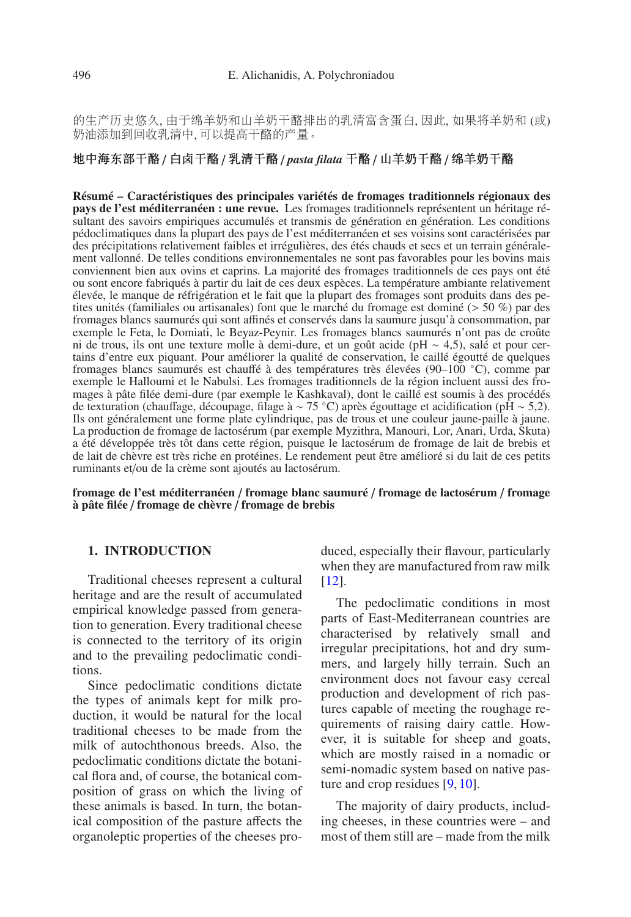的生产历史悠久, 由于绵羊奶和山羊奶干酪排出的乳清富含蛋白, 因此, 如果将羊奶和 (或) 奶油添加到回收乳清中, 可以提高干酪的产量。

### 地中海东部干酪 / 白卤干酪 / 乳清干酪 / *pasta filata* 干酪 / 山羊奶干酪 / 绵羊奶干酪

**Résumé – Caractéristiques des principales variétés de fromages traditionnels régionaux des pays de l'est méditerranéen : une revue.** Les fromages traditionnels représentent un héritage résultant des savoirs empiriques accumulés et transmis de génération en génération. Les conditions pédoclimatiques dans la plupart des pays de l'est méditerranéen et ses voisins sont caractérisées par des précipitations relativement faibles et irrégulières, des étés chauds et secs et un terrain généralement vallonné. De telles conditions environnementales ne sont pas favorables pour les bovins mais conviennent bien aux ovins et caprins. La majorité des fromages traditionnels de ces pays ont été ou sont encore fabriqués à partir du lait de ces deux espèces. La température ambiante relativement élevée, le manque de réfrigération et le fait que la plupart des fromages sont produits dans des petites unités (familiales ou artisanales) font que le marché du fromage est dominé (> 50 %) par des fromages blancs saumurés qui sont affinés et conservés dans la saumure jusqu'à consommation, par exemple le Feta, le Domiati, le Beyaz-Peynir. Les fromages blancs saumurés n'ont pas de croûte ni de trous, ils ont une texture molle à demi-dure, et un goût acide (pH ∼ 4,5), salé et pour certains d'entre eux piquant. Pour améliorer la qualité de conservation, le caillé égoutté de quelques fromages blancs saumurés est chauffé à des températures très élevées (90–100 ◦C), comme par exemple le Halloumi et le Nabulsi. Les fromages traditionnels de la région incluent aussi des fromages à pâte filée demi-dure (par exemple le Kashkaval), dont le caillé est soumis à des procédés de texturation (chauffage, découpage, filage à ∼ 75 ◦C) après égouttage et acidification (pH ∼ 5,2). Ils ont généralement une forme plate cylindrique, pas de trous et une couleur jaune-paille à jaune. La production de fromage de lactosérum (par exemple Myzithra, Manouri, Lor, Anari, Urda, Skuta) a été développée très tôt dans cette région, puisque le lactosérum de fromage de lait de brebis et de lait de chèvre est très riche en protéines. Le rendement peut être amélioré si du lait de ces petits ruminants et/ou de la crème sont ajoutés au lactosérum.

**fromage de l'est méditerranéen** / **fromage blanc saumuré** / **fromage de lactosérum** / **fromage à pâte filée** / **fromage de chèvre** / **fromage de brebis**

#### **1. INTRODUCTION**

Traditional cheeses represent a cultural heritage and are the result of accumulated empirical knowledge passed from generation to generation. Every traditional cheese is connected to the territory of its origin and to the prevailing pedoclimatic conditions.

Since pedoclimatic conditions dictate the types of animals kept for milk production, it would be natural for the local traditional cheeses to be made from the milk of autochthonous breeds. Also, the pedoclimatic conditions dictate the botanical flora and, of course, the botanical composition of grass on which the living of these animals is based. In turn, the botanical composition of the pasture affects the organoleptic properties of the cheeses produced, especially their flavour, particularly when they are manufactured from raw milk [\[12\]](#page-13-0).

The pedoclimatic conditions in most parts of East-Mediterranean countries are characterised by relatively small and irregular precipitations, hot and dry summers, and largely hilly terrain. Such an environment does not favour easy cereal production and development of rich pastures capable of meeting the roughage requirements of raising dairy cattle. However, it is suitable for sheep and goats, which are mostly raised in a nomadic or semi-nomadic system based on native pasture and crop residues [\[9,](#page-13-1) [10\]](#page-13-2).

The majority of dairy products, including cheeses, in these countries were – and most of them still are – made from the milk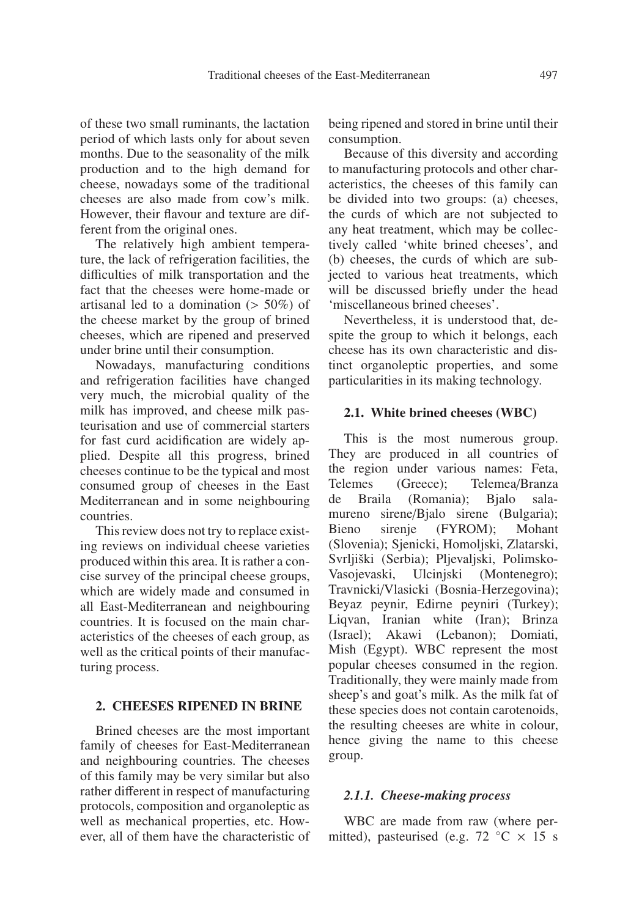of these two small ruminants, the lactation period of which lasts only for about seven months. Due to the seasonality of the milk production and to the high demand for cheese, nowadays some of the traditional cheeses are also made from cow's milk. However, their flavour and texture are different from the original ones.

The relatively high ambient temperature, the lack of refrigeration facilities, the difficulties of milk transportation and the fact that the cheeses were home-made or artisanal led to a domination (> 50%) of the cheese market by the group of brined cheeses, which are ripened and preserved under brine until their consumption.

Nowadays, manufacturing conditions and refrigeration facilities have changed very much, the microbial quality of the milk has improved, and cheese milk pasteurisation and use of commercial starters for fast curd acidification are widely applied. Despite all this progress, brined cheeses continue to be the typical and most consumed group of cheeses in the East Mediterranean and in some neighbouring countries.

This review does not try to replace existing reviews on individual cheese varieties produced within this area. It is rather a concise survey of the principal cheese groups, which are widely made and consumed in all East-Mediterranean and neighbouring countries. It is focused on the main characteristics of the cheeses of each group, as well as the critical points of their manufacturing process.

#### **2. CHEESES RIPENED IN BRINE**

Brined cheeses are the most important family of cheeses for East-Mediterranean and neighbouring countries. The cheeses of this family may be very similar but also rather different in respect of manufacturing protocols, composition and organoleptic as well as mechanical properties, etc. However, all of them have the characteristic of being ripened and stored in brine until their consumption.

Because of this diversity and according to manufacturing protocols and other characteristics, the cheeses of this family can be divided into two groups: (a) cheeses, the curds of which are not subjected to any heat treatment, which may be collectively called 'white brined cheeses', and (b) cheeses, the curds of which are subjected to various heat treatments, which will be discussed briefly under the head 'miscellaneous brined cheeses'.

Nevertheless, it is understood that, despite the group to which it belongs, each cheese has its own characteristic and distinct organoleptic properties, and some particularities in its making technology.

#### **2.1. White brined cheeses (WBC)**

This is the most numerous group. They are produced in all countries of the region under various names: Feta, Telemes (Greece); Telemea/Branza de Braila (Romania); Bjalo salamureno sirene/Bjalo sirene (Bulgaria); Bieno sirenje (FYROM); Mohant (Slovenia); Sjenicki, Homoljski, Zlatarski, Svrljiški (Serbia); Pljevaljski, Polimsko-Vasojevaski, Ulcinjski (Montenegro); Travnicki/Vlasicki (Bosnia-Herzegovina); Beyaz peynir, Edirne peyniri (Turkey); Liqvan, Iranian white (Iran); Brinza (Israel); Akawi (Lebanon); Domiati, Mish (Egypt). WBC represent the most popular cheeses consumed in the region. Traditionally, they were mainly made from sheep's and goat's milk. As the milk fat of these species does not contain carotenoids, the resulting cheeses are white in colour, hence giving the name to this cheese group.

#### *2.1.1. Cheese-making process*

WBC are made from raw (where permitted), pasteurised (e.g.  $72 \text{ °C} \times 15 \text{ s}$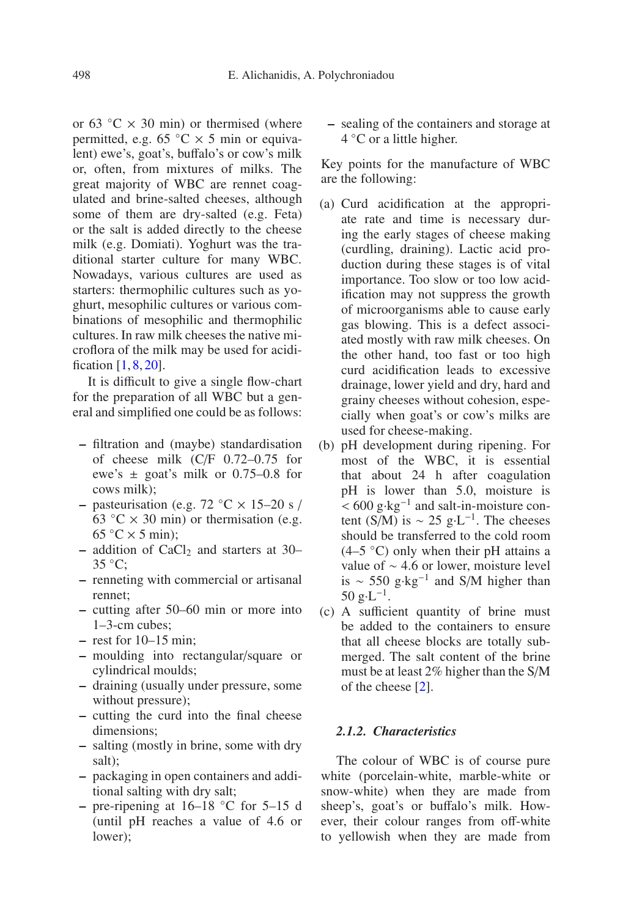or 63  $°C \times 30$  min) or thermised (where permitted, e.g. 65  $\degree$ C  $\times$  5 min or equivalent) ewe's, goat's, buffalo's or cow's milk or, often, from mixtures of milks. The great majority of WBC are rennet coagulated and brine-salted cheeses, although some of them are dry-salted (e.g. Feta) or the salt is added directly to the cheese milk (e.g. Domiati). Yoghurt was the traditional starter culture for many WBC. Nowadays, various cultures are used as starters: thermophilic cultures such as yoghurt, mesophilic cultures or various combinations of mesophilic and thermophilic cultures. In raw milk cheeses the native microflora of the milk may be used for acidification  $[1, 8, 20]$  $[1, 8, 20]$  $[1, 8, 20]$  $[1, 8, 20]$  $[1, 8, 20]$ .

It is difficult to give a single flow-chart for the preparation of all WBC but a general and simplified one could be as follows:

- **–** filtration and (maybe) standardisation of cheese milk (C/F 0.72–0.75 for ewe's  $\pm$  goat's milk or 0.75–0.8 for cows milk);
- **–** pasteurisation (e.g. 72 ◦C × 15–20 s / 63  $°C \times 30$  min) or thermisation (e.g.  $65\text{ °C} \times 5 \text{ min}$ :
- addition of CaCl<sub>2</sub> and starters at 30– 35 ◦C;
- **–** renneting with commercial or artisanal rennet;
- **–** cutting after 50–60 min or more into 1–3-cm cubes;
- **–** rest for 10–15 min;
- **–** moulding into rectangular/square or cylindrical moulds;
- **–** draining (usually under pressure, some without pressure);
- **–** cutting the curd into the final cheese dimensions;
- **–** salting (mostly in brine, some with dry salt);
- **–** packaging in open containers and additional salting with dry salt;
- **–** pre-ripening at 16–18 ◦C for 5–15 d (until pH reaches a value of 4.6 or lower);

**–** sealing of the containers and storage at  $4^{\circ}$ C or a little higher.

Key points for the manufacture of WBC are the following:

- (a) Curd acidification at the appropriate rate and time is necessary during the early stages of cheese making (curdling, draining). Lactic acid production during these stages is of vital importance. Too slow or too low acidification may not suppress the growth of microorganisms able to cause early gas blowing. This is a defect associated mostly with raw milk cheeses. On the other hand, too fast or too high curd acidification leads to excessive drainage, lower yield and dry, hard and grainy cheeses without cohesion, especially when goat's or cow's milks are used for cheese-making.
- (b) pH development during ripening. For most of the WBC, it is essential that about 24 h after coagulation pH is lower than 5.0, moisture is  $< 600 \text{ g} \cdot \text{kg}^{-1}$  and salt-in-moisture content (S/M) is ~ 25 g⋅L<sup>-1</sup>. The cheeses should be transferred to the cold room  $(4-5 \degree C)$  only when their pH attains a value of ∼ 4.6 or lower, moisture level is ~ 550 g⋅kg<sup>-1</sup> and S/M higher than  $50 \text{ g} \cdot \text{L}^{-1}$ .
- (c) A sufficient quantity of brine must be added to the containers to ensure that all cheese blocks are totally submerged. The salt content of the brine must be at least 2% higher than the S/M of the cheese [\[2\]](#page-12-1).

## *2.1.2. Characteristics*

The colour of WBC is of course pure white (porcelain-white, marble-white or snow-white) when they are made from sheep's, goat's or buffalo's milk. However, their colour ranges from off-white to yellowish when they are made from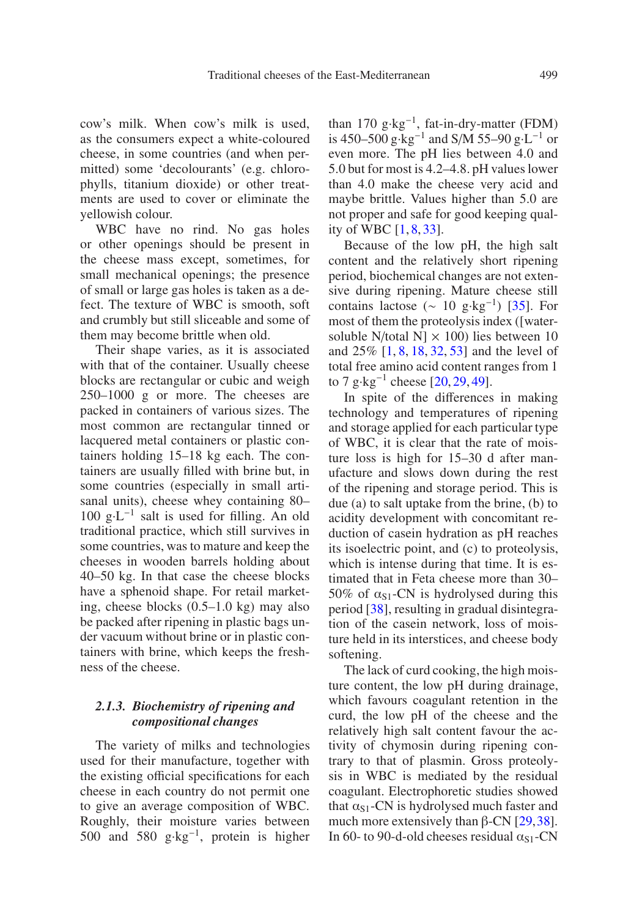cow's milk. When cow's milk is used, as the consumers expect a white-coloured cheese, in some countries (and when permitted) some 'decolourants' (e.g. chlorophylls, titanium dioxide) or other treatments are used to cover or eliminate the yellowish colour.

WBC have no rind. No gas holes or other openings should be present in the cheese mass except, sometimes, for small mechanical openings; the presence of small or large gas holes is taken as a defect. The texture of WBC is smooth, soft and crumbly but still sliceable and some of them may become brittle when old.

Their shape varies, as it is associated with that of the container. Usually cheese blocks are rectangular or cubic and weigh 250–1000 g or more. The cheeses are packed in containers of various sizes. The most common are rectangular tinned or lacquered metal containers or plastic containers holding 15–18 kg each. The containers are usually filled with brine but, in some countries (especially in small artisanal units), cheese whey containing 80–  $100 \text{ g} \cdot \text{L}^{-1}$  salt is used for filling. An old traditional practice, which still survives in some countries, was to mature and keep the cheeses in wooden barrels holding about 40–50 kg. In that case the cheese blocks have a sphenoid shape. For retail marketing, cheese blocks (0.5–1.0 kg) may also be packed after ripening in plastic bags under vacuum without brine or in plastic containers with brine, which keeps the freshness of the cheese.

## *2.1.3. Biochemistry of ripening and compositional changes*

The variety of milks and technologies used for their manufacture, together with the existing official specifications for each cheese in each country do not permit one to give an average composition of WBC. Roughly, their moisture varies between 500 and 580 g·kg−1, protein is higher than 170 g·kg−1, fat-in-dry-matter (FDM) is 450–500 g·kg−<sup>1</sup> and S/M 55–90 g·L−<sup>1</sup> or even more. The pH lies between 4.0 and 5.0 but for most is 4.2–4.8. pH values lower than 4.0 make the cheese very acid and maybe brittle. Values higher than 5.0 are not proper and safe for good keeping quality of WBC [\[1](#page-12-0), [8,](#page-13-3) [33\]](#page-14-0).

Because of the low pH, the high salt content and the relatively short ripening period, biochemical changes are not extensive during ripening. Mature cheese still contains lactose ( $\sim 10$  g·kg<sup>-1</sup>) [\[35\]](#page-14-1). For most of them the proteolysis index ([watersoluble N/total N]  $\times$  100) lies between 10 and 25% [\[1](#page-12-0), [8,](#page-13-3) [18,](#page-13-5) [32](#page-14-2), [53\]](#page-15-0) and the level of total free amino acid content ranges from 1 to 7 g⋅kg<sup>-1</sup> cheese [\[20](#page-13-4), [29,](#page-14-3) [49\]](#page-15-1).

In spite of the differences in making technology and temperatures of ripening and storage applied for each particular type of WBC, it is clear that the rate of moisture loss is high for 15–30 d after manufacture and slows down during the rest of the ripening and storage period. This is due (a) to salt uptake from the brine, (b) to acidity development with concomitant reduction of casein hydration as pH reaches its isoelectric point, and (c) to proteolysis, which is intense during that time. It is estimated that in Feta cheese more than 30– 50% of  $\alpha_{S1}$ -CN is hydrolysed during this period [\[38\]](#page-14-4), resulting in gradual disintegration of the casein network, loss of moisture held in its interstices, and cheese body softening.

The lack of curd cooking, the high moisture content, the low pH during drainage, which favours coagulant retention in the curd, the low pH of the cheese and the relatively high salt content favour the activity of chymosin during ripening contrary to that of plasmin. Gross proteolysis in WBC is mediated by the residual coagulant. Electrophoretic studies showed that  $\alpha_{S1}$ -CN is hydrolysed much faster and much more extensively than β-CN  $[29,38]$  $[29,38]$ . In 60- to 90-d-old cheeses residual  $\alpha_{S1}$ -CN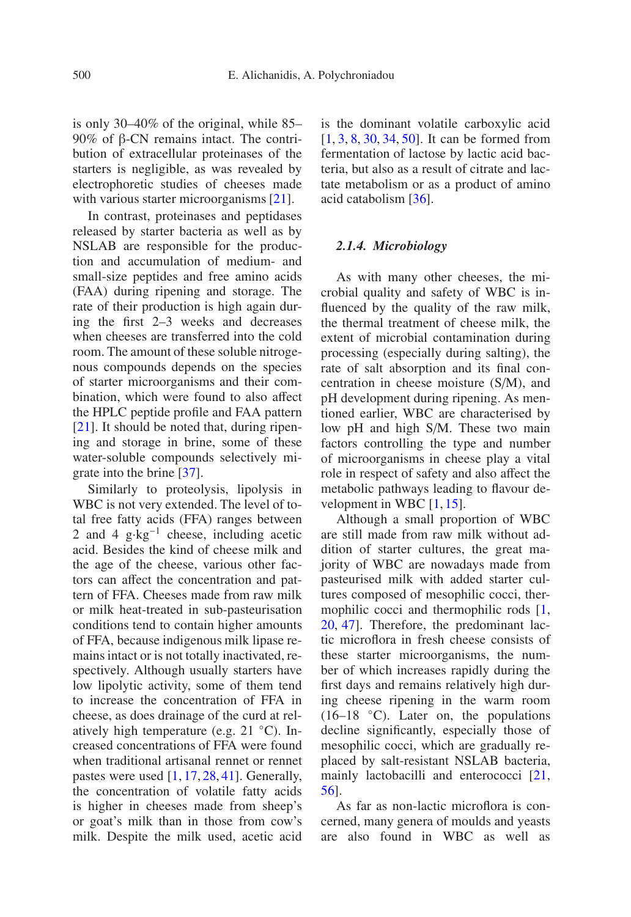is only 30–40% of the original, while 85– 90% of β-CN remains intact. The contribution of extracellular proteinases of the starters is negligible, as was revealed by electrophoretic studies of cheeses made with various starter microorganisms [\[21\]](#page-13-6).

In contrast, proteinases and peptidases released by starter bacteria as well as by NSLAB are responsible for the production and accumulation of medium- and small-size peptides and free amino acids (FAA) during ripening and storage. The rate of their production is high again during the first 2–3 weeks and decreases when cheeses are transferred into the cold room. The amount of these soluble nitrogenous compounds depends on the species of starter microorganisms and their combination, which were found to also affect the HPLC peptide profile and FAA pattern [\[21](#page-13-6)]. It should be noted that, during ripening and storage in brine, some of these water-soluble compounds selectively migrate into the brine [\[37](#page-14-5)].

Similarly to proteolysis, lipolysis in WBC is not very extended. The level of total free fatty acids (FFA) ranges between 2 and 4 g⋅kg<sup>-1</sup> cheese, including acetic acid. Besides the kind of cheese milk and the age of the cheese, various other factors can affect the concentration and pattern of FFA. Cheeses made from raw milk or milk heat-treated in sub-pasteurisation conditions tend to contain higher amounts of FFA, because indigenous milk lipase remains intact or is not totally inactivated, respectively. Although usually starters have low lipolytic activity, some of them tend to increase the concentration of FFA in cheese, as does drainage of the curd at relatively high temperature (e.g. 21 ◦C). Increased concentrations of FFA were found when traditional artisanal rennet or rennet pastes were used [\[1](#page-12-0), [17,](#page-13-7) [28](#page-14-6), [41](#page-14-7)]. Generally, the concentration of volatile fatty acids is higher in cheeses made from sheep's or goat's milk than in those from cow's milk. Despite the milk used, acetic acid is the dominant volatile carboxylic acid [\[1](#page-12-0), [3,](#page-12-2) [8](#page-13-3), [30,](#page-14-8) [34,](#page-14-9) [50](#page-15-2)]. It can be formed from fermentation of lactose by lactic acid bacteria, but also as a result of citrate and lactate metabolism or as a product of amino acid catabolism [\[36](#page-14-10)].

#### *2.1.4. Microbiology*

As with many other cheeses, the microbial quality and safety of WBC is influenced by the quality of the raw milk, the thermal treatment of cheese milk, the extent of microbial contamination during processing (especially during salting), the rate of salt absorption and its final concentration in cheese moisture (S/M), and pH development during ripening. As mentioned earlier, WBC are characterised by low pH and high S/M. These two main factors controlling the type and number of microorganisms in cheese play a vital role in respect of safety and also affect the metabolic pathways leading to flavour development in WBC [\[1](#page-12-0), [15\]](#page-13-8).

Although a small proportion of WBC are still made from raw milk without addition of starter cultures, the great majority of WBC are nowadays made from pasteurised milk with added starter cultures composed of mesophilic cocci, ther-mophilic cocci and thermophilic rods [\[1,](#page-12-0) [20](#page-13-4), [47\]](#page-14-11). Therefore, the predominant lactic microflora in fresh cheese consists of these starter microorganisms, the number of which increases rapidly during the first days and remains relatively high during cheese ripening in the warm room (16–18  $\degree$ C). Later on, the populations decline significantly, especially those of mesophilic cocci, which are gradually replaced by salt-resistant NSLAB bacteria, mainly lactobacilli and enterococci [\[21,](#page-13-6) [56](#page-15-3)].

As far as non-lactic microflora is concerned, many genera of moulds and yeasts are also found in WBC as well as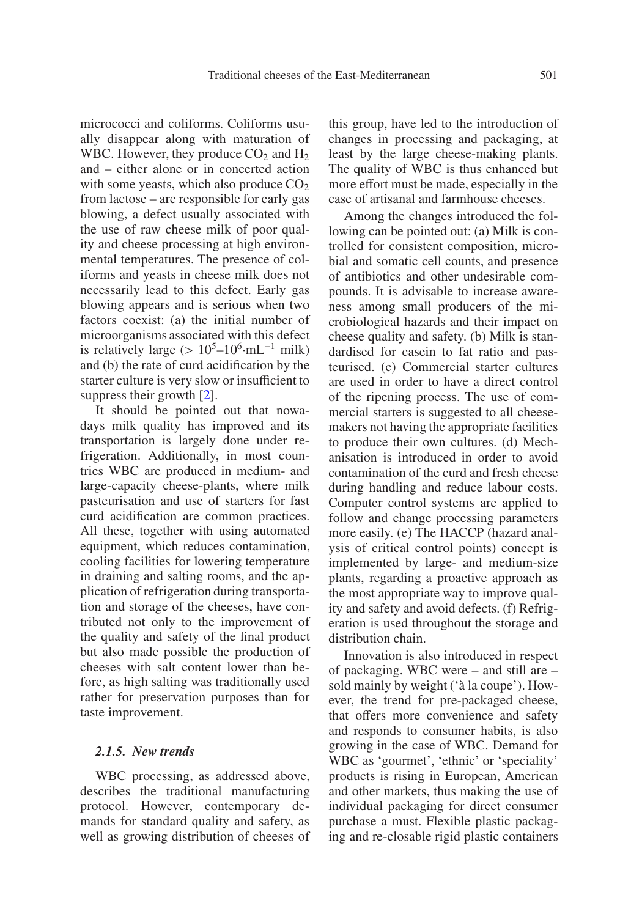micrococci and coliforms. Coliforms usually disappear along with maturation of WBC. However, they produce  $CO<sub>2</sub>$  and  $H<sub>2</sub>$ and – either alone or in concerted action with some yeasts, which also produce  $CO<sub>2</sub>$ from lactose – are responsible for early gas blowing, a defect usually associated with the use of raw cheese milk of poor quality and cheese processing at high environmental temperatures. The presence of coliforms and yeasts in cheese milk does not necessarily lead to this defect. Early gas blowing appears and is serious when two factors coexist: (a) the initial number of microorganisms associated with this defect is relatively large (>  $10^5$ – $10^6$ ·mL<sup>-1</sup> milk) and (b) the rate of curd acidification by the starter culture is very slow or insufficient to suppress their growth [\[2\]](#page-12-1).

It should be pointed out that nowadays milk quality has improved and its transportation is largely done under refrigeration. Additionally, in most countries WBC are produced in medium- and large-capacity cheese-plants, where milk pasteurisation and use of starters for fast curd acidification are common practices. All these, together with using automated equipment, which reduces contamination, cooling facilities for lowering temperature in draining and salting rooms, and the application of refrigeration during transportation and storage of the cheeses, have contributed not only to the improvement of the quality and safety of the final product but also made possible the production of cheeses with salt content lower than before, as high salting was traditionally used rather for preservation purposes than for taste improvement.

#### *2.1.5. New trends*

WBC processing, as addressed above, describes the traditional manufacturing protocol. However, contemporary demands for standard quality and safety, as well as growing distribution of cheeses of this group, have led to the introduction of changes in processing and packaging, at least by the large cheese-making plants. The quality of WBC is thus enhanced but more effort must be made, especially in the case of artisanal and farmhouse cheeses.

Among the changes introduced the following can be pointed out: (a) Milk is controlled for consistent composition, microbial and somatic cell counts, and presence of antibiotics and other undesirable compounds. It is advisable to increase awareness among small producers of the microbiological hazards and their impact on cheese quality and safety. (b) Milk is standardised for casein to fat ratio and pasteurised. (c) Commercial starter cultures are used in order to have a direct control of the ripening process. The use of commercial starters is suggested to all cheesemakers not having the appropriate facilities to produce their own cultures. (d) Mechanisation is introduced in order to avoid contamination of the curd and fresh cheese during handling and reduce labour costs. Computer control systems are applied to follow and change processing parameters more easily. (e) The HACCP (hazard analysis of critical control points) concept is implemented by large- and medium-size plants, regarding a proactive approach as the most appropriate way to improve quality and safety and avoid defects. (f) Refrigeration is used throughout the storage and distribution chain.

Innovation is also introduced in respect of packaging. WBC were – and still are – sold mainly by weight ('à la coupe'). However, the trend for pre-packaged cheese, that offers more convenience and safety and responds to consumer habits, is also growing in the case of WBC. Demand for WBC as 'gourmet', 'ethnic' or 'speciality' products is rising in European, American and other markets, thus making the use of individual packaging for direct consumer purchase a must. Flexible plastic packaging and re-closable rigid plastic containers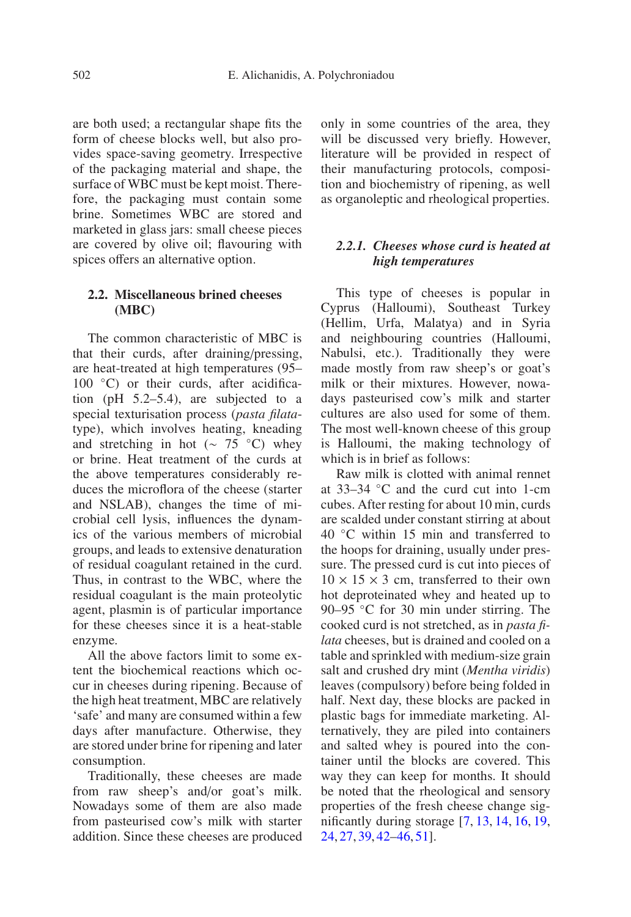are both used; a rectangular shape fits the form of cheese blocks well, but also provides space-saving geometry. Irrespective of the packaging material and shape, the surface of WBC must be kept moist. Therefore, the packaging must contain some brine. Sometimes WBC are stored and marketed in glass jars: small cheese pieces are covered by olive oil; flavouring with spices offers an alternative option.

## **2.2. Miscellaneous brined cheeses (MBC)**

The common characteristic of MBC is that their curds, after draining/pressing, are heat-treated at high temperatures (95–  $100 °C$ ) or their curds, after acidification (pH 5.2–5.4), are subjected to a special texturisation process (*pasta filata*type), which involves heating, kneading and stretching in hot ( $\sim$  75 °C) whey or brine. Heat treatment of the curds at the above temperatures considerably reduces the microflora of the cheese (starter and NSLAB), changes the time of microbial cell lysis, influences the dynamics of the various members of microbial groups, and leads to extensive denaturation of residual coagulant retained in the curd. Thus, in contrast to the WBC, where the residual coagulant is the main proteolytic agent, plasmin is of particular importance for these cheeses since it is a heat-stable enzyme.

All the above factors limit to some extent the biochemical reactions which occur in cheeses during ripening. Because of the high heat treatment, MBC are relatively 'safe' and many are consumed within a few days after manufacture. Otherwise, they are stored under brine for ripening and later consumption.

Traditionally, these cheeses are made from raw sheep's and/or goat's milk. Nowadays some of them are also made from pasteurised cow's milk with starter addition. Since these cheeses are produced only in some countries of the area, they will be discussed very briefly. However, literature will be provided in respect of their manufacturing protocols, composition and biochemistry of ripening, as well as organoleptic and rheological properties.

## *2.2.1. Cheeses whose curd is heated at high temperatures*

This type of cheeses is popular in Cyprus (Halloumi), Southeast Turkey (Hellim, Urfa, Malatya) and in Syria and neighbouring countries (Halloumi, Nabulsi, etc.). Traditionally they were made mostly from raw sheep's or goat's milk or their mixtures. However, nowadays pasteurised cow's milk and starter cultures are also used for some of them. The most well-known cheese of this group is Halloumi, the making technology of which is in brief as follows:

Raw milk is clotted with animal rennet at  $33-34$  °C and the curd cut into 1-cm cubes. After resting for about 10 min, curds are scalded under constant stirring at about 40 ◦C within 15 min and transferred to the hoops for draining, usually under pressure. The pressed curd is cut into pieces of  $10 \times 15 \times 3$  cm, transferred to their own hot deproteinated whey and heated up to 90–95 ◦C for 30 min under stirring. The cooked curd is not stretched, as in *pasta filata* cheeses, but is drained and cooled on a table and sprinkled with medium-size grain salt and crushed dry mint (*Mentha viridis*) leaves (compulsory) before being folded in half. Next day, these blocks are packed in plastic bags for immediate marketing. Alternatively, they are piled into containers and salted whey is poured into the container until the blocks are covered. This way they can keep for months. It should be noted that the rheological and sensory properties of the fresh cheese change significantly during storage [\[7,](#page-13-9) [13,](#page-13-10) [14](#page-13-11), [16,](#page-13-12) [19,](#page-13-13) [24](#page-13-14), [27,](#page-14-12) [39,](#page-14-13) [42](#page-14-14)[–46](#page-14-15), [51\]](#page-15-4).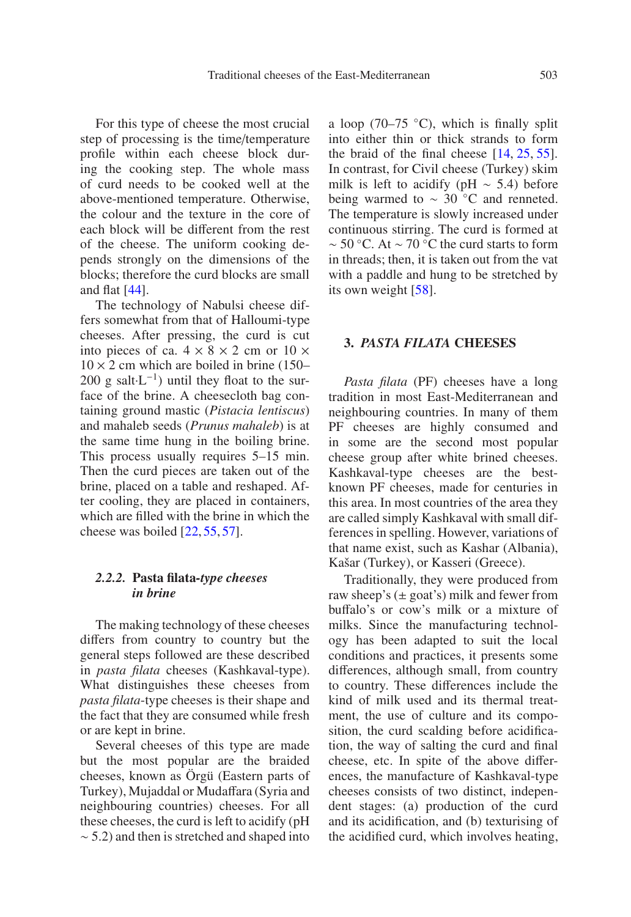For this type of cheese the most crucial step of processing is the time/temperature profile within each cheese block during the cooking step. The whole mass of curd needs to be cooked well at the above-mentioned temperature. Otherwise, the colour and the texture in the core of each block will be different from the rest of the cheese. The uniform cooking depends strongly on the dimensions of the blocks; therefore the curd blocks are small and flat [\[44\]](#page-14-16).

The technology of Nabulsi cheese differs somewhat from that of Halloumi-type cheeses. After pressing, the curd is cut into pieces of ca.  $4 \times 8 \times 2$  cm or  $10 \times$  $10 \times 2$  cm which are boiled in brine (150– 200 g salt $\cdot L^{-1}$ ) until they float to the surface of the brine. A cheesecloth bag containing ground mastic (*Pistacia lentiscus*) and mahaleb seeds (*Prunus mahaleb*) is at the same time hung in the boiling brine. This process usually requires 5–15 min. Then the curd pieces are taken out of the brine, placed on a table and reshaped. After cooling, they are placed in containers, which are filled with the brine in which the cheese was boiled [\[22](#page-13-15), [55,](#page-15-5) [57\]](#page-15-6).

## *2.2.2.* **Pasta filata***-type cheeses in brine*

The making technology of these cheeses differs from country to country but the general steps followed are these described in *pasta filata* cheeses (Kashkaval-type). What distinguishes these cheeses from *pasta filata*-type cheeses is their shape and the fact that they are consumed while fresh or are kept in brine.

Several cheeses of this type are made but the most popular are the braided cheeses, known as Örgü (Eastern parts of Turkey), Mujaddal or Mudaffara (Syria and neighbouring countries) cheeses. For all these cheeses, the curd is left to acidify (pH  $\sim$  5.2) and then is stretched and shaped into a loop (70–75  $\degree$ C), which is finally split into either thin or thick strands to form the braid of the final cheese [\[14,](#page-13-11) [25](#page-13-16), [55\]](#page-15-5). In contrast, for Civil cheese (Turkey) skim milk is left to acidify (pH  $\sim$  5.4) before being warmed to ∼ 30 ◦C and renneted. The temperature is slowly increased under continuous stirring. The curd is formed at  $\sim$  50 °C. At ~ 70 °C the curd starts to form in threads; then, it is taken out from the vat with a paddle and hung to be stretched by its own weight [\[58\]](#page-15-7).

## **3.** *PASTA FILATA* **CHEESES**

*Pasta filata* (PF) cheeses have a long tradition in most East-Mediterranean and neighbouring countries. In many of them PF cheeses are highly consumed and in some are the second most popular cheese group after white brined cheeses. Kashkaval-type cheeses are the bestknown PF cheeses, made for centuries in this area. In most countries of the area they are called simply Kashkaval with small differences in spelling. However, variations of that name exist, such as Kashar (Albania), Kašar (Turkey), or Kasseri (Greece).

Traditionally, they were produced from raw sheep's  $(\pm$  goat's) milk and fewer from buffalo's or cow's milk or a mixture of milks. Since the manufacturing technology has been adapted to suit the local conditions and practices, it presents some differences, although small, from country to country. These differences include the kind of milk used and its thermal treatment, the use of culture and its composition, the curd scalding before acidification, the way of salting the curd and final cheese, etc. In spite of the above differences, the manufacture of Kashkaval-type cheeses consists of two distinct, independent stages: (a) production of the curd and its acidification, and (b) texturising of the acidified curd, which involves heating,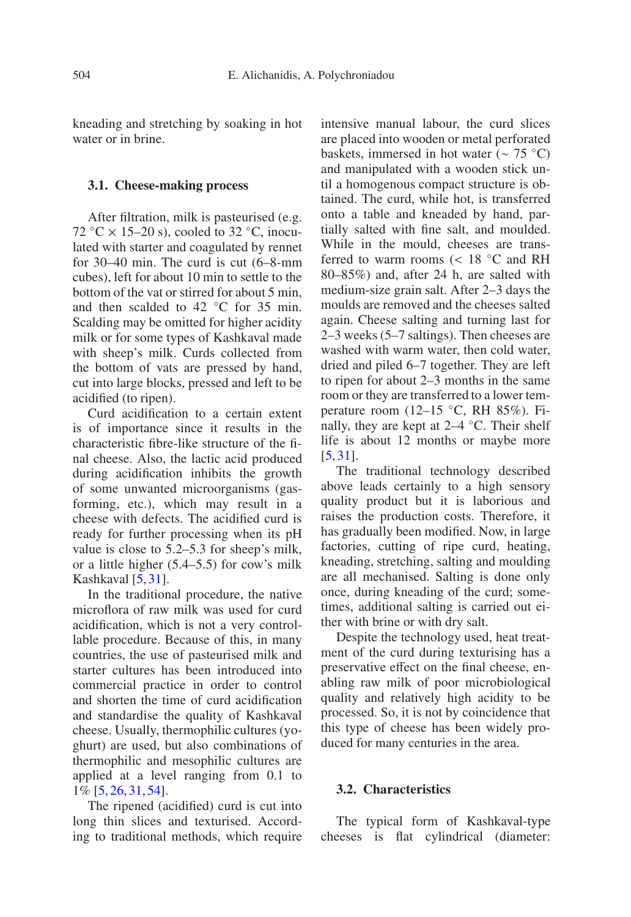kneading and stretching by soaking in hot water or in brine.

#### **3.1. Cheese-making process**

After filtration, milk is pasteurised (e.g. 72  $\degree$ C × 15–20 s), cooled to 32  $\degree$ C, inoculated with starter and coagulated by rennet for 30–40 min. The curd is cut (6–8-mm cubes), left for about 10 min to settle to the bottom of the vat or stirred for about 5 min, and then scalded to 42 °C for 35 min. Scalding may be omitted for higher acidity milk or for some types of Kashkaval made with sheep's milk. Curds collected from the bottom of vats are pressed by hand, cut into large blocks, pressed and left to be acidified (to ripen).

Curd acidification to a certain extent is of importance since it results in the characteristic fibre-like structure of the final cheese. Also, the lactic acid produced during acidification inhibits the growth of some unwanted microorganisms (gasforming, etc.), which may result in a cheese with defects. The acidified curd is ready for further processing when its pH value is close to 5.2–5.3 for sheep's milk, or a little higher (5.4–5.5) for cow's milk Kashkaval [\[5](#page-13-17), [31\]](#page-14-17).

In the traditional procedure, the native microflora of raw milk was used for curd acidification, which is not a very controllable procedure. Because of this, in many countries, the use of pasteurised milk and starter cultures has been introduced into commercial practice in order to control and shorten the time of curd acidification and standardise the quality of Kashkaval cheese. Usually, thermophilic cultures (yoghurt) are used, but also combinations of thermophilic and mesophilic cultures are applied at a level ranging from 0.1 to 1% [\[5,](#page-13-17) [26,](#page-13-18) [31,](#page-14-17) [54](#page-15-8)].

The ripened (acidified) curd is cut into long thin slices and texturised. According to traditional methods, which require intensive manual labour, the curd slices are placed into wooden or metal perforated baskets, immersed in hot water (∼ 75 ◦C) and manipulated with a wooden stick until a homogenous compact structure is obtained. The curd, while hot, is transferred onto a table and kneaded by hand, partially salted with fine salt, and moulded. While in the mould, cheeses are transferred to warm rooms  $(< 18 °C$  and RH 80–85%) and, after 24 h, are salted with medium-size grain salt. After 2–3 days the moulds are removed and the cheeses salted again. Cheese salting and turning last for 2–3 weeks (5–7 saltings). Then cheeses are washed with warm water, then cold water, dried and piled 6–7 together. They are left to ripen for about 2–3 months in the same room or they are transferred to a lower temperature room (12–15 ◦C, RH 85%). Finally, they are kept at  $2-4$  °C. Their shelf life is about 12 months or maybe more [\[5](#page-13-17), [31](#page-14-17)].

The traditional technology described above leads certainly to a high sensory quality product but it is laborious and raises the production costs. Therefore, it has gradually been modified. Now, in large factories, cutting of ripe curd, heating, kneading, stretching, salting and moulding are all mechanised. Salting is done only once, during kneading of the curd; sometimes, additional salting is carried out either with brine or with dry salt.

Despite the technology used, heat treatment of the curd during texturising has a preservative effect on the final cheese, enabling raw milk of poor microbiological quality and relatively high acidity to be processed. So, it is not by coincidence that this type of cheese has been widely produced for many centuries in the area.

## **3.2. Characteristics**

The typical form of Kashkaval-type cheeses is flat cylindrical (diameter: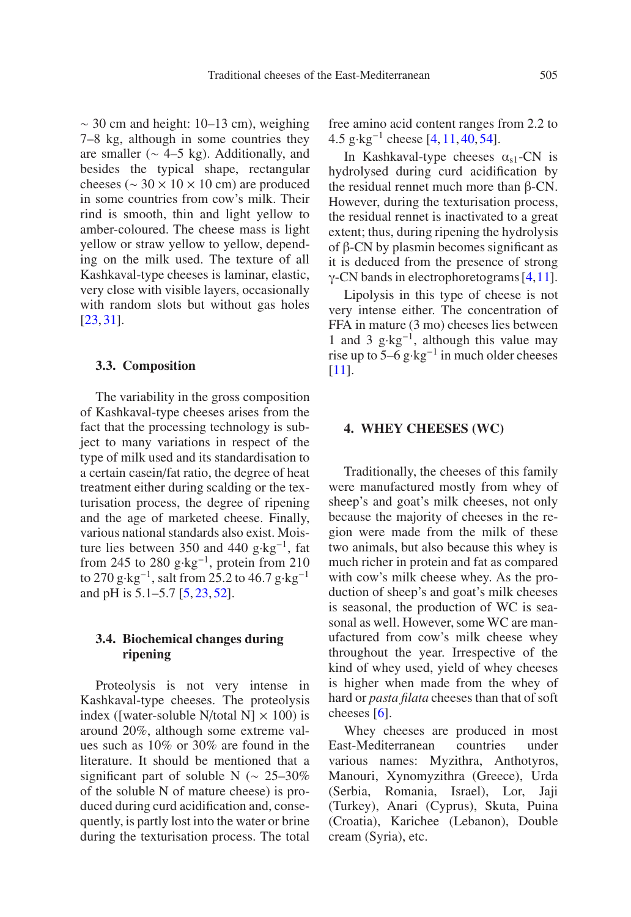$\sim$  30 cm and height: 10–13 cm), weighing 7–8 kg, although in some countries they are smaller ( $\sim$  4–5 kg). Additionally, and besides the typical shape, rectangular cheeses ( $\sim$  30 × 10 × 10 cm) are produced in some countries from cow's milk. Their rind is smooth, thin and light yellow to amber-coloured. The cheese mass is light yellow or straw yellow to yellow, depending on the milk used. The texture of all Kashkaval-type cheeses is laminar, elastic, very close with visible layers, occasionally with random slots but without gas holes [\[23,](#page-13-19) [31\]](#page-14-17).

#### **3.3. Composition**

The variability in the gross composition of Kashkaval-type cheeses arises from the fact that the processing technology is subject to many variations in respect of the type of milk used and its standardisation to a certain casein/fat ratio, the degree of heat treatment either during scalding or the texturisation process, the degree of ripening and the age of marketed cheese. Finally, various national standards also exist. Moisture lies between 350 and 440 g⋅kg<sup>-1</sup>, fat from 245 to 280 g·kg−1, protein from 210 to 270 g⋅kg<sup>-1</sup>, salt from 25.2 to 46.7 g⋅kg<sup>-1</sup> and pH is 5.1–5.7 [\[5,](#page-13-17) [23,](#page-13-19) [52\]](#page-15-9).

## **3.4. Biochemical changes during ripening**

Proteolysis is not very intense in Kashkaval-type cheeses. The proteolysis index ([water-soluble N/total N]  $\times$  100) is around 20%, although some extreme values such as 10% or 30% are found in the literature. It should be mentioned that a significant part of soluble N ( $\sim 25-30\%$ of the soluble N of mature cheese) is produced during curd acidification and, consequently, is partly lost into the water or brine during the texturisation process. The total free amino acid content ranges from 2.2 to 4.5 g·kg−<sup>1</sup> cheese [\[4](#page-13-20), [11](#page-13-21), [40,](#page-14-18) [54\]](#page-15-8).

In Kashkaval-type cheeses  $\alpha_{s1}$ -CN is hydrolysed during curd acidification by the residual rennet much more than β-CN. However, during the texturisation process, the residual rennet is inactivated to a great extent; thus, during ripening the hydrolysis of β-CN by plasmin becomes significant as it is deduced from the presence of strong γ-CN bands in electrophoretograms  $[4,11]$  $[4,11]$ .

Lipolysis in this type of cheese is not very intense either. The concentration of FFA in mature (3 mo) cheeses lies between 1 and 3 g⋅kg<sup>-1</sup>, although this value may rise up to  $5-6$  g·kg<sup>-1</sup> in much older cheeses [\[11](#page-13-21)].

## **4. WHEY CHEESES (WC)**

Traditionally, the cheeses of this family were manufactured mostly from whey of sheep's and goat's milk cheeses, not only because the majority of cheeses in the region were made from the milk of these two animals, but also because this whey is much richer in protein and fat as compared with cow's milk cheese whey. As the production of sheep's and goat's milk cheeses is seasonal, the production of WC is seasonal as well. However, some WC are manufactured from cow's milk cheese whey throughout the year. Irrespective of the kind of whey used, yield of whey cheeses is higher when made from the whey of hard or *pasta filata* cheeses than that of soft cheeses [\[6\]](#page-13-22).

Whey cheeses are produced in most East-Mediterranean countries under various names: Myzithra, Anthotyros, Manouri, Xynomyzithra (Greece), Urda (Serbia, Romania, Israel), Lor, Jaji (Turkey), Anari (Cyprus), Skuta, Puina (Croatia), Karichee (Lebanon), Double cream (Syria), etc.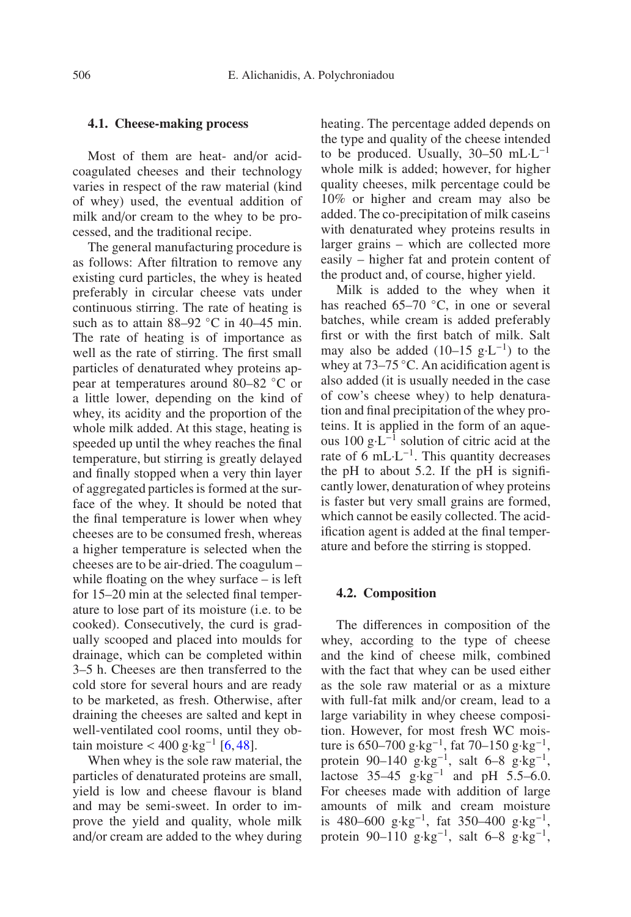#### **4.1. Cheese-making process**

Most of them are heat- and/or acidcoagulated cheeses and their technology varies in respect of the raw material (kind of whey) used, the eventual addition of milk and/or cream to the whey to be processed, and the traditional recipe.

The general manufacturing procedure is as follows: After filtration to remove any existing curd particles, the whey is heated preferably in circular cheese vats under continuous stirring. The rate of heating is such as to attain  $88-92$  °C in  $40-45$  min. The rate of heating is of importance as well as the rate of stirring. The first small particles of denaturated whey proteins appear at temperatures around 80–82 ◦C or a little lower, depending on the kind of whey, its acidity and the proportion of the whole milk added. At this stage, heating is speeded up until the whey reaches the final temperature, but stirring is greatly delayed and finally stopped when a very thin layer of aggregated particles is formed at the surface of the whey. It should be noted that the final temperature is lower when whey cheeses are to be consumed fresh, whereas a higher temperature is selected when the cheeses are to be air-dried. The coagulum – while floating on the whey surface – is left for 15–20 min at the selected final temperature to lose part of its moisture (i.e. to be cooked). Consecutively, the curd is gradually scooped and placed into moulds for drainage, which can be completed within 3–5 h. Cheeses are then transferred to the cold store for several hours and are ready to be marketed, as fresh. Otherwise, after draining the cheeses are salted and kept in well-ventilated cool rooms, until they obtain moisture <  $400 \text{ g} \cdot \text{kg}^{-1}$  [\[6,](#page-13-22) [48\]](#page-14-19).

When whey is the sole raw material, the particles of denaturated proteins are small, yield is low and cheese flavour is bland and may be semi-sweet. In order to improve the yield and quality, whole milk and/or cream are added to the whey during heating. The percentage added depends on the type and quality of the cheese intended to be produced. Usually,  $30-50$  mL⋅L<sup>-1</sup> whole milk is added; however, for higher quality cheeses, milk percentage could be 10% or higher and cream may also be added. The co-precipitation of milk caseins with denaturated whey proteins results in larger grains – which are collected more easily – higher fat and protein content of the product and, of course, higher yield.

Milk is added to the whey when it has reached 65–70 ◦C, in one or several batches, while cream is added preferably first or with the first batch of milk. Salt may also be added  $(10-15 \text{ g} \cdot \text{L}^{-1})$  to the whey at  $73-75$  °C. An acidification agent is also added (it is usually needed in the case of cow's cheese whey) to help denaturation and final precipitation of the whey proteins. It is applied in the form of an aqueous 100 g·L−<sup>1</sup> solution of citric acid at the rate of 6 mL⋅L<sup>-1</sup>. This quantity decreases the pH to about 5.2. If the pH is significantly lower, denaturation of whey proteins is faster but very small grains are formed, which cannot be easily collected. The acidification agent is added at the final temperature and before the stirring is stopped.

#### **4.2. Composition**

The differences in composition of the whey, according to the type of cheese and the kind of cheese milk, combined with the fact that whey can be used either as the sole raw material or as a mixture with full-fat milk and/or cream, lead to a large variability in whey cheese composition. However, for most fresh WC moisture is 650–700 g·kg−1, fat 70–150 g·kg−1, protein 90–140 g·kg<sup>-1</sup>, salt 6–8 g·kg<sup>-1</sup>, lactose 35–45 g·kg−<sup>1</sup> and pH 5.5–6.0. For cheeses made with addition of large amounts of milk and cream moisture is 480–600 g·kg<sup>-1</sup>, fat 350–400 g·kg<sup>-1</sup>, protein 90–110 g·kg<sup>-1</sup>, salt 6–8 g·kg<sup>-1</sup>,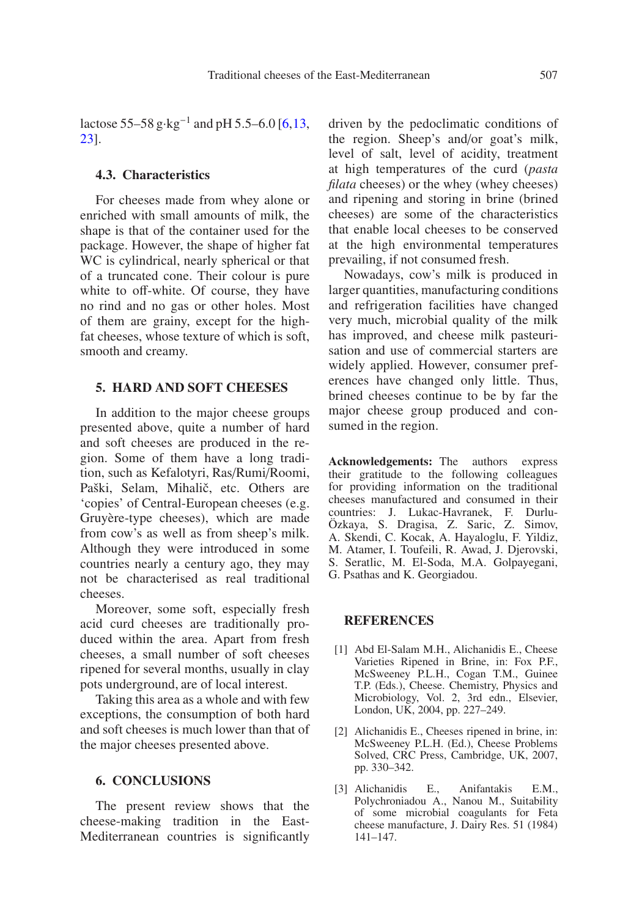lactose 55–58 g⋅kg<sup>-1</sup> and pH 5.5–6.0 [\[6](#page-13-22)[,13](#page-13-10), [23\]](#page-13-19).

#### **4.3. Characteristics**

For cheeses made from whey alone or enriched with small amounts of milk, the shape is that of the container used for the package. However, the shape of higher fat WC is cylindrical, nearly spherical or that of a truncated cone. Their colour is pure white to off-white. Of course, they have no rind and no gas or other holes. Most of them are grainy, except for the highfat cheeses, whose texture of which is soft, smooth and creamy.

## **5. HARD AND SOFT CHEESES**

In addition to the major cheese groups presented above, quite a number of hard and soft cheeses are produced in the region. Some of them have a long tradition, such as Kefalotyri, Ras/Rumi/Roomi, Paški, Selam, Mihalič, etc. Others are 'copies' of Central-European cheeses (e.g. Gruyère-type cheeses), which are made from cow's as well as from sheep's milk. Although they were introduced in some countries nearly a century ago, they may not be characterised as real traditional cheeses.

Moreover, some soft, especially fresh acid curd cheeses are traditionally produced within the area. Apart from fresh cheeses, a small number of soft cheeses ripened for several months, usually in clay pots underground, are of local interest.

Taking this area as a whole and with few exceptions, the consumption of both hard and soft cheeses is much lower than that of the major cheeses presented above.

#### **6. CONCLUSIONS**

The present review shows that the cheese-making tradition in the East-Mediterranean countries is significantly

driven by the pedoclimatic conditions of the region. Sheep's and/or goat's milk, level of salt, level of acidity, treatment at high temperatures of the curd (*pasta filata* cheeses) or the whey (whey cheeses) and ripening and storing in brine (brined cheeses) are some of the characteristics that enable local cheeses to be conserved at the high environmental temperatures prevailing, if not consumed fresh.

Nowadays, cow's milk is produced in larger quantities, manufacturing conditions and refrigeration facilities have changed very much, microbial quality of the milk has improved, and cheese milk pasteurisation and use of commercial starters are widely applied. However, consumer preferences have changed only little. Thus, brined cheeses continue to be by far the major cheese group produced and consumed in the region.

**Acknowledgements:** The authors express their gratitude to the following colleagues for providing information on the traditional cheeses manufactured and consumed in their countries: J. Lukac-Havranek, F. Durlu-Özkaya, S. Dragisa, Z. Saric, Z. Simov, A. Skendi, C. Kocak, A. Hayaloglu, F. Yildiz, M. Atamer, I. Toufeili, R. Awad, J. Djerovski, S. Seratlic, M. El-Soda, M.A. Golpayegani, G. Psathas and K. Georgiadou.

## **REFERENCES**

- <span id="page-12-0"></span>[1] Abd El-Salam M.H., Alichanidis E., Cheese Varieties Ripened in Brine, in: Fox P.F., McSweeney P.L.H., Cogan T.M., Guinee T.P. (Eds.), Cheese. Chemistry, Physics and Microbiology, Vol. 2, 3rd edn., Elsevier, London, UK, 2004, pp. 227–249.
- <span id="page-12-1"></span>[2] Alichanidis E., Cheeses ripened in brine, in: McSweeney P.L.H. (Ed.), Cheese Problems Solved, CRC Press, Cambridge, UK, 2007, pp. 330–342.
- <span id="page-12-2"></span>[3] Alichanidis E., Anifantakis E.M., Polychroniadou A., Nanou M., Suitability of some microbial coagulants for Feta cheese manufacture, J. Dairy Res. 51 (1984) 141–147.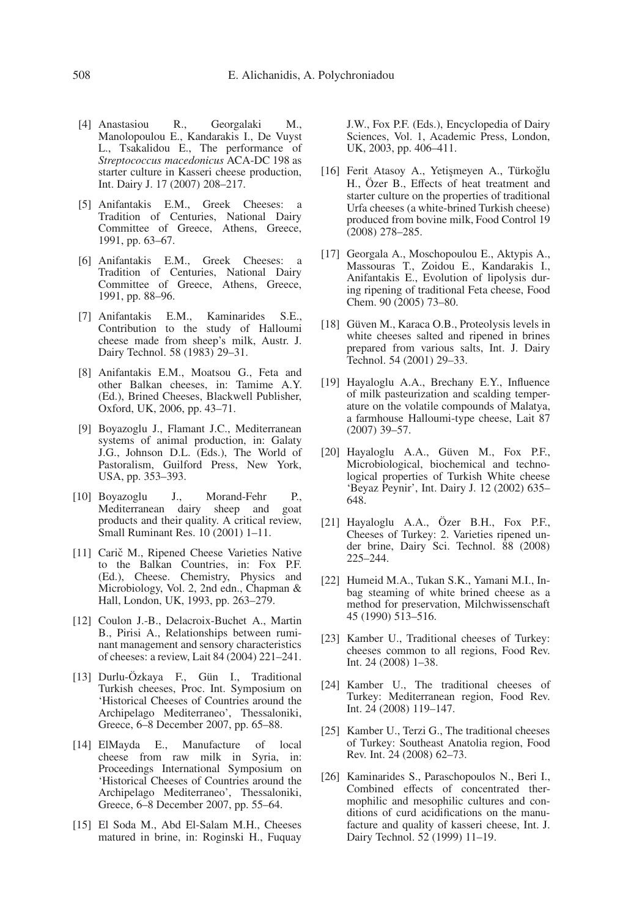- <span id="page-13-20"></span>[4] Anastasiou R., Georgalaki M., Manolopoulou E., Kandarakis I., De Vuyst L., Tsakalidou E., The performance of *Streptococcus macedonicus* ACA-DC 198 as starter culture in Kasseri cheese production, Int. Dairy J. 17 (2007) 208–217.
- <span id="page-13-17"></span>[5] Anifantakis E.M., Greek Cheeses: a Tradition of Centuries, National Dairy Committee of Greece, Athens, Greece, 1991, pp. 63–67.
- <span id="page-13-22"></span>[6] Anifantakis E.M., Greek Cheeses: a Tradition of Centuries, National Dairy Committee of Greece, Athens, Greece, 1991, pp. 88–96.
- <span id="page-13-9"></span>[7] Anifantakis E.M., Kaminarides S.E., Contribution to the study of Halloumi cheese made from sheep's milk, Austr. J. Dairy Technol. 58 (1983) 29–31.
- <span id="page-13-3"></span>[8] Anifantakis E.M., Moatsou G., Feta and other Balkan cheeses, in: Tamime A.Y. (Ed.), Brined Cheeses, Blackwell Publisher, Oxford, UK, 2006, pp. 43–71.
- <span id="page-13-1"></span>[9] Boyazoglu J., Flamant J.C., Mediterranean systems of animal production, in: Galaty J.G., Johnson D.L. (Eds.), The World of Pastoralism, Guilford Press, New York, USA, pp. 353–393.
- <span id="page-13-2"></span>[10] Boyazoglu J., Morand-Fehr P., Mediterranean dairy sheep and goat products and their quality. A critical review, Small Ruminant Res. 10 (2001) 1–11.
- <span id="page-13-21"></span>[11] Carič M., Ripened Cheese Varieties Native to the Balkan Countries, in: Fox P.F. (Ed.), Cheese. Chemistry, Physics and Microbiology, Vol. 2, 2nd edn., Chapman & Hall, London, UK, 1993, pp. 263–279.
- <span id="page-13-0"></span>[12] Coulon J.-B., Delacroix-Buchet A., Martin B., Pirisi A., Relationships between ruminant management and sensory characteristics of cheeses: a review, Lait 84 (2004) 221–241.
- <span id="page-13-10"></span>[13] Durlu-Özkaya F., Gün I., Traditional Turkish cheeses, Proc. Int. Symposium on 'Historical Cheeses of Countries around the Archipelago Mediterraneo', Thessaloniki, Greece, 6–8 December 2007, pp. 65–88.
- <span id="page-13-11"></span>[14] ElMayda E., Manufacture of local cheese from raw milk in Syria, in: Proceedings International Symposium on 'Historical Cheeses of Countries around the Archipelago Mediterraneo', Thessaloniki, Greece, 6–8 December 2007, pp. 55–64.
- <span id="page-13-8"></span>[15] El Soda M., Abd El-Salam M.H., Cheeses matured in brine, in: Roginski H., Fuquay

J.W., Fox P.F. (Eds.), Encyclopedia of Dairy Sciences, Vol. 1, Academic Press, London, UK, 2003, pp. 406–411.

- <span id="page-13-12"></span>[16] Ferit Atasoy A., Yetişmeyen A., Türkoğlu H., Özer B., Effects of heat treatment and starter culture on the properties of traditional Urfa cheeses (a white-brined Turkish cheese) produced from bovine milk, Food Control 19 (2008) 278–285.
- <span id="page-13-7"></span>[17] Georgala A., Moschopoulou E., Aktypis A., Massouras T., Zoidou E., Kandarakis I., Anifantakis E., Evolution of lipolysis during ripening of traditional Feta cheese, Food Chem. 90 (2005) 73–80.
- <span id="page-13-5"></span>[18] Güven M., Karaca O.B., Proteolysis levels in white cheeses salted and ripened in brines prepared from various salts, Int. J. Dairy Technol. 54 (2001) 29–33.
- <span id="page-13-13"></span>[19] Hayaloglu A.A., Brechany E.Y., Influence of milk pasteurization and scalding temperature on the volatile compounds of Malatya, a farmhouse Halloumi-type cheese, Lait 87 (2007) 39–57.
- <span id="page-13-4"></span>[20] Hayaloglu A.A., Güven M., Fox P.F., Microbiological, biochemical and technological properties of Turkish White cheese 'Beyaz Peynir', Int. Dairy J. 12 (2002) 635– 648.
- <span id="page-13-6"></span>[21] Hayaloglu A.A., Özer B.H., Fox P.F., Cheeses of Turkey: 2. Varieties ripened under brine, Dairy Sci. Technol. 88 (2008) 225–244.
- <span id="page-13-15"></span>[22] Humeid M.A., Tukan S.K., Yamani M.I., Inbag steaming of white brined cheese as a method for preservation, Milchwissenschaft 45 (1990) 513–516.
- <span id="page-13-19"></span>[23] Kamber U., Traditional cheeses of Turkey: cheeses common to all regions, Food Rev. Int. 24 (2008) 1–38.
- <span id="page-13-14"></span>[24] Kamber U., The traditional cheeses of Turkey: Mediterranean region, Food Rev. Int. 24 (2008) 119–147.
- <span id="page-13-16"></span>[25] Kamber U., Terzi G., The traditional cheeses of Turkey: Southeast Anatolia region, Food Rev. Int. 24 (2008) 62–73.
- <span id="page-13-18"></span>[26] Kaminarides S., Paraschopoulos N., Beri I., Combined effects of concentrated thermophilic and mesophilic cultures and conditions of curd acidifications on the manufacture and quality of kasseri cheese, Int. J. Dairy Technol. 52 (1999) 11–19.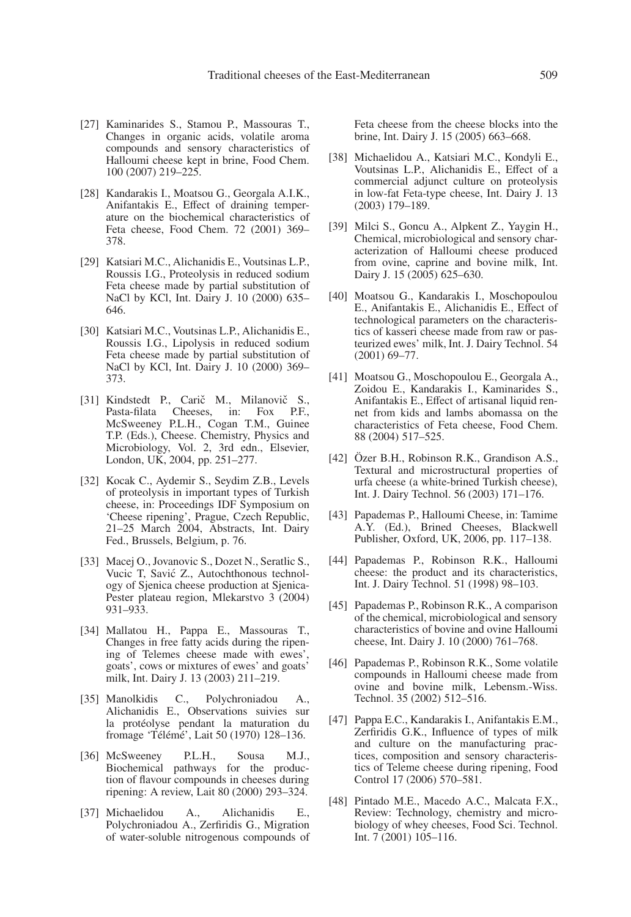- <span id="page-14-12"></span>[27] Kaminarides S., Stamou P., Massouras T., Changes in organic acids, volatile aroma compounds and sensory characteristics of Halloumi cheese kept in brine, Food Chem. 100 (2007) 219–225.
- <span id="page-14-6"></span>[28] Kandarakis I., Moatsou G., Georgala A.I.K., Anifantakis E., Effect of draining temperature on the biochemical characteristics of Feta cheese, Food Chem. 72 (2001) 369– 378.
- <span id="page-14-3"></span>[29] Katsiari M.C., Alichanidis E., Voutsinas L.P., Roussis I.G., Proteolysis in reduced sodium Feta cheese made by partial substitution of NaCl by KCl, Int. Dairy J. 10 (2000) 635– 646.
- <span id="page-14-8"></span>[30] Katsiari M.C., Voutsinas L.P., Alichanidis E., Roussis I.G., Lipolysis in reduced sodium Feta cheese made by partial substitution of NaCl by KCl, Int. Dairy J. 10 (2000) 369– 373.
- <span id="page-14-17"></span>[31] Kindstedt P., Carič M., Milanovič S., Pasta-filata Cheeses, in: Fox P.F., McSweeney P.L.H., Cogan T.M., Guinee T.P. (Eds.), Cheese. Chemistry, Physics and Microbiology, Vol. 2, 3rd edn., Elsevier, London, UK, 2004, pp. 251–277.
- <span id="page-14-2"></span>[32] Kocak C., Aydemir S., Seydim Z.B., Levels of proteolysis in important types of Turkish cheese, in: Proceedings IDF Symposium on 'Cheese ripening', Prague, Czech Republic, 21–25 March 2004, Abstracts, Int. Dairy Fed., Brussels, Belgium, p. 76.
- <span id="page-14-0"></span>[33] Macej O., Jovanovic S., Dozet N., Seratlic S., Vucic T, Savic Z., Autochthonous technol- ´ ogy of Sjenica cheese production at Sjenica-Pester plateau region, Mlekarstvo 3 (2004) 931–933.
- <span id="page-14-9"></span>[34] Mallatou H., Pappa E., Massouras T., Changes in free fatty acids during the ripening of Telemes cheese made with ewes', goats', cows or mixtures of ewes' and goats' milk, Int. Dairy J. 13 (2003) 211–219.
- <span id="page-14-1"></span>[35] Manolkidis C., Polychroniadou A., Alichanidis E., Observations suivies sur la protéolyse pendant la maturation du fromage 'Télémé', Lait 50 (1970) 128–136.
- <span id="page-14-10"></span>[36] McSweeney P.L.H., Sousa M.J., Biochemical pathways for the production of flavour compounds in cheeses during ripening: A review, Lait 80 (2000) 293–324.
- <span id="page-14-5"></span>[37] Michaelidou A., Alichanidis E., Polychroniadou A., Zerfiridis G., Migration of water-soluble nitrogenous compounds of

Feta cheese from the cheese blocks into the brine, Int. Dairy J. 15 (2005) 663–668.

- <span id="page-14-4"></span>[38] Michaelidou A., Katsiari M.C., Kondyli E., Voutsinas L.P., Alichanidis E., Effect of a commercial adjunct culture on proteolysis in low-fat Feta-type cheese, Int. Dairy J. 13 (2003) 179–189.
- <span id="page-14-13"></span>[39] Milci S., Goncu A., Alpkent Z., Yaygin H., Chemical, microbiological and sensory characterization of Halloumi cheese produced from ovine, caprine and bovine milk, Int. Dairy J. 15 (2005) 625–630.
- <span id="page-14-18"></span>[40] Moatsou G., Kandarakis I., Moschopoulou E., Anifantakis E., Alichanidis E., Effect of technological parameters on the characteristics of kasseri cheese made from raw or pasteurized ewes' milk, Int. J. Dairy Technol. 54 (2001) 69–77.
- <span id="page-14-7"></span>[41] Moatsou G., Moschopoulou E., Georgala A., Zoidou E., Kandarakis I., Kaminarides S., Anifantakis E., Effect of artisanal liquid rennet from kids and lambs abomassa on the characteristics of Feta cheese, Food Chem. 88 (2004) 517–525.
- <span id="page-14-14"></span>[42] Özer B.H., Robinson R.K., Grandison A.S., Textural and microstructural properties of urfa cheese (a white-brined Turkish cheese), Int. J. Dairy Technol. 56 (2003) 171–176.
- [43] Papademas P., Halloumi Cheese, in: Tamime A.Y. (Ed.), Brined Cheeses, Blackwell Publisher, Oxford, UK, 2006, pp. 117–138.
- <span id="page-14-16"></span>[44] Papademas P., Robinson R.K., Halloumi cheese: the product and its characteristics, Int. J. Dairy Technol. 51 (1998) 98–103.
- [45] Papademas P., Robinson R.K., A comparison of the chemical, microbiological and sensory characteristics of bovine and ovine Halloumi cheese, Int. Dairy J. 10 (2000) 761–768.
- <span id="page-14-15"></span>[46] Papademas P., Robinson R.K., Some volatile compounds in Halloumi cheese made from ovine and bovine milk, Lebensm.-Wiss. Technol. 35 (2002) 512–516.
- <span id="page-14-11"></span>[47] Pappa E.C., Kandarakis I., Anifantakis E.M., Zerfiridis G.K., Influence of types of milk and culture on the manufacturing practices, composition and sensory characteristics of Teleme cheese during ripening, Food Control 17 (2006) 570–581.
- <span id="page-14-19"></span>[48] Pintado M.E., Macedo A.C., Malcata F.X., Review: Technology, chemistry and microbiology of whey cheeses, Food Sci. Technol. Int. 7 (2001) 105–116.